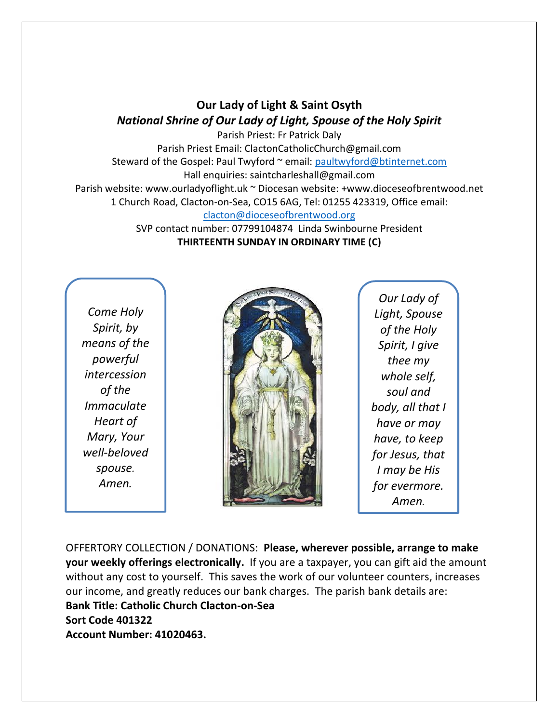## **Our Lady of Light & Saint Osyth** *National Shrine of Our Lady of Light, Spouse of the Holy Spirit*

Parish Priest: Fr Patrick Daly Parish Priest Email: ClactonCatholicChurch@gmail.com Steward of the Gospel: Paul Twyford ~ email: [paultwyford@btinternet.com](mailto:paultwyford@btinternet.com) Hall enquiries: saintcharleshall@gmail.com Parish website: www.ourladyoflight.uk ~ Diocesan website: +www.dioceseofbrentwood.net 1 Church Road, Clacton-on-Sea, CO15 6AG, Tel: 01255 423319, Office email: [clacton@dioceseofbrentwood.org](mailto:clacton@dioceseofbrentwood.org)

SVP contact number: 07799104874 Linda Swinbourne President **THIRTEENTH SUNDAY IN ORDINARY TIME (C)**

*Come Holy Spirit, by means of the powerful intercession of the Immaculate Heart of Mary, Your well-beloved spouse. Amen.*



*Our Lady of Light, Spouse of the Holy Spirit, I give thee my whole self, soul and body, all that I have or may have, to keep for Jesus, that I may be His for evermore. Amen.*

OFFERTORY COLLECTION / DONATIONS: **Please, wherever possible, arrange to make your weekly offerings electronically.** If you are a taxpayer, you can gift aid the amount without any cost to yourself. This saves the work of our volunteer counters, increases our income, and greatly reduces our bank charges. The parish bank details are: **Bank Title: Catholic Church Clacton-on-Sea Sort Code 401322 Account Number: 41020463.**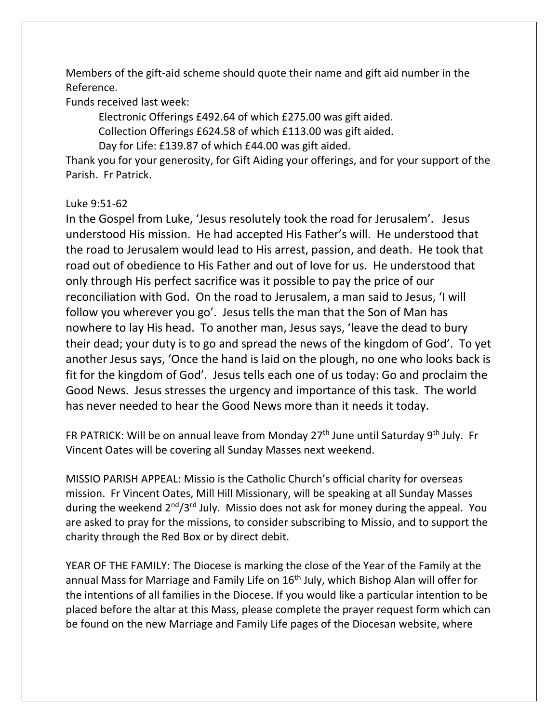Members of the gift-aid scheme should quote their name and gift aid number in the Reference.

Funds received last week:

Electronic Offerings £492.64 of which £275.00 was gift aided. Collection Offerings £624.58 of which £113.00 was gift aided. Day for Life: £139.87 of which £44.00 was gift aided.

Thank you for your generosity, for Gift Aiding your offerings, and for your support of the Parish. Fr Patrick.

## Luke 9:51-62

In the Gospel from Luke, 'Jesus resolutely took the road for Jerusalem'. Jesus understood His mission. He had accepted His Father's will. He understood that the road to Jerusalem would lead to His arrest, passion, and death. He took that road out of obedience to His Father and out of love for us. He understood that only through His perfect sacrifice was it possible to pay the price of our reconciliation with God. On the road to Jerusalem, a man said to Jesus, 'I will follow you wherever you go'. Jesus tells the man that the Son of Man has nowhere to lay His head. To another man, Jesus says, 'leave the dead to bury their dead; your duty is to go and spread the news of the kingdom of God'. To yet another Jesus says, 'Once the hand is laid on the plough, no one who looks back is fit for the kingdom of God'. Jesus tells each one of us today: Go and proclaim the Good News. Jesus stresses the urgency and importance of this task. The world has never needed to hear the Good News more than it needs it today.

FR PATRICK: Will be on annual leave from Monday 27<sup>th</sup> June until Saturday 9<sup>th</sup> July. Fr Vincent Oates will be covering all Sunday Masses next weekend.

MISSIO PARISH APPEAL: Missio is the Catholic Church's official charity for overseas mission. Fr Vincent Oates, Mill Hill Missionary, will be speaking at all Sunday Masses during the weekend 2<sup>nd</sup>/3<sup>rd</sup> July. Missio does not ask for money during the appeal. You are asked to pray for the missions, to consider subscribing to Missio, and to support the charity through the Red Box or by direct debit.

YEAR OF THE FAMILY: The Diocese is marking the close of the Year of the Family at the annual Mass for Marriage and Family Life on 16<sup>th</sup> July, which Bishop Alan will offer for the intentions of all families in the Diocese. If you would like a particular intention to be placed before the altar at this Mass, please complete the prayer request form which can be found on the new Marriage and Family Life pages of the Diocesan website, where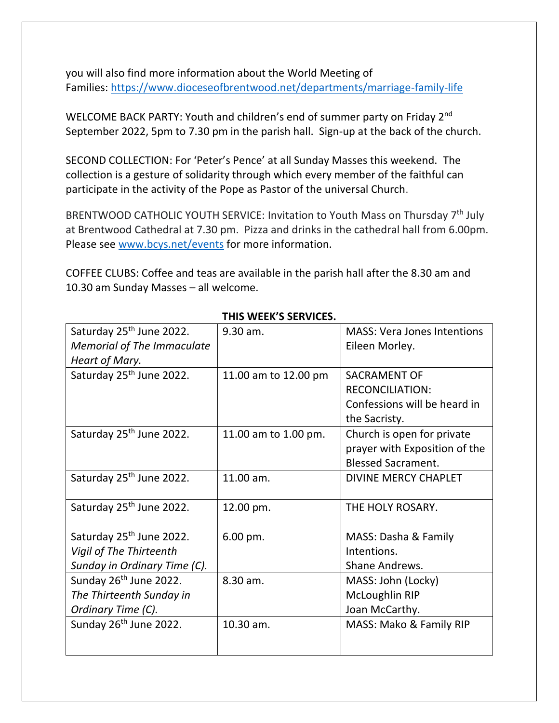you will also find more information about the World Meeting of Families: [https://www.dioceseofbrentwood.net/departments/marriage-family-life](https://www.dioceseofbrentwood.net/departments/marriage-family-life/x-world-meeting-of-families/)

WELCOME BACK PARTY: Youth and children's end of summer party on Friday 2<sup>nd</sup> September 2022, 5pm to 7.30 pm in the parish hall. Sign-up at the back of the church.

SECOND COLLECTION: For 'Peter's Pence' at all Sunday Masses this weekend. The collection is a gesture of solidarity through which every member of the faithful can participate in the activity of the Pope as Pastor of the universal Church.

BRENTWOOD CATHOLIC YOUTH SERVICE: Invitation to Youth Mass on Thursday 7<sup>th</sup> July at Brentwood Cathedral at 7.30 pm. Pizza and drinks in the cathedral hall from 6.00pm. Please see [www.bcys.net/events](http://www.bcys.net/events) for more information.

COFFEE CLUBS: Coffee and teas are available in the parish hall after the 8.30 am and 10.30 am Sunday Masses – all welcome.

| Saturday 25 <sup>th</sup> June 2022. | 9.30 am.             | <b>MASS: Vera Jones Intentions</b> |
|--------------------------------------|----------------------|------------------------------------|
| <b>Memorial of The Immaculate</b>    |                      | Eileen Morley.                     |
| Heart of Mary.                       |                      |                                    |
| Saturday 25 <sup>th</sup> June 2022. | 11.00 am to 12.00 pm | <b>SACRAMENT OF</b>                |
|                                      |                      | <b>RECONCILIATION:</b>             |
|                                      |                      | Confessions will be heard in       |
|                                      |                      | the Sacristy.                      |
| Saturday 25 <sup>th</sup> June 2022. | 11.00 am to 1.00 pm. | Church is open for private         |
|                                      |                      | prayer with Exposition of the      |
|                                      |                      | <b>Blessed Sacrament.</b>          |
| Saturday 25 <sup>th</sup> June 2022. | 11.00 am.            | <b>DIVINE MERCY CHAPLET</b>        |
|                                      |                      |                                    |
| Saturday 25 <sup>th</sup> June 2022. | 12.00 pm.            | THE HOLY ROSARY.                   |
|                                      |                      |                                    |
| Saturday 25 <sup>th</sup> June 2022. | 6.00 pm.             | MASS: Dasha & Family               |
| Vigil of The Thirteenth              |                      | Intentions.                        |
| Sunday in Ordinary Time (C).         |                      | Shane Andrews.                     |
| Sunday 26 <sup>th</sup> June 2022.   | 8.30 am.             | MASS: John (Locky)                 |
| The Thirteenth Sunday in             |                      | McLoughlin RIP                     |
| Ordinary Time (C).                   |                      | Joan McCarthy.                     |
| Sunday 26 <sup>th</sup> June 2022.   | 10.30 am.            | MASS: Mako & Family RIP            |
|                                      |                      |                                    |
|                                      |                      |                                    |

## **THIS WEEK'S SERVICES.**